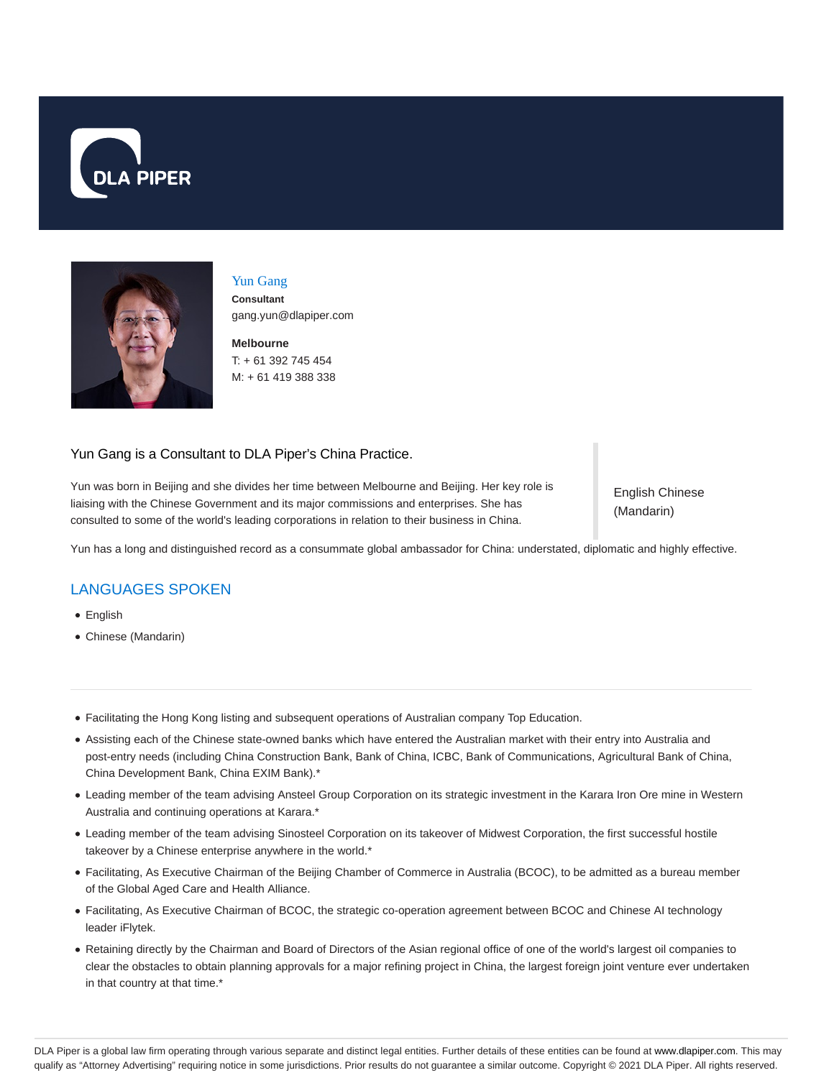



#### Yun Gang

**Consultant** gang.yun@dlapiper.com

**Melbourne** T: + 61 392 745 454 M: + 61 419 388 338

### Yun Gang is a Consultant to DLA Piper's China Practice.

Yun was born in Beijing and she divides her time between Melbourne and Beijing. Her key role is liaising with the Chinese Government and its major commissions and enterprises. She has consulted to some of the world's leading corporations in relation to their business in China.

English Chinese (Mandarin)

Yun has a long and distinguished record as a consummate global ambassador for China: understated, diplomatic and highly effective.

# LANGUAGES SPOKEN

- English
- Chinese (Mandarin)
- Facilitating the Hong Kong listing and subsequent operations of Australian company Top Education.
- Assisting each of the Chinese state-owned banks which have entered the Australian market with their entry into Australia and post-entry needs (including China Construction Bank, Bank of China, ICBC, Bank of Communications, Agricultural Bank of China, China Development Bank, China EXIM Bank).\*
- Leading member of the team advising Ansteel Group Corporation on its strategic investment in the Karara Iron Ore mine in Western Australia and continuing operations at Karara.\*
- Leading member of the team advising Sinosteel Corporation on its takeover of Midwest Corporation, the first successful hostile takeover by a Chinese enterprise anywhere in the world.\*
- Facilitating, As Executive Chairman of the Beijing Chamber of Commerce in Australia (BCOC), to be admitted as a bureau member of the Global Aged Care and Health Alliance.
- Facilitating, As Executive Chairman of BCOC, the strategic co-operation agreement between BCOC and Chinese AI technology leader iFlytek.
- Retaining directly by the Chairman and Board of Directors of the Asian regional office of one of the world's largest oil companies to clear the obstacles to obtain planning approvals for a major refining project in China, the largest foreign joint venture ever undertaken in that country at that time.\*